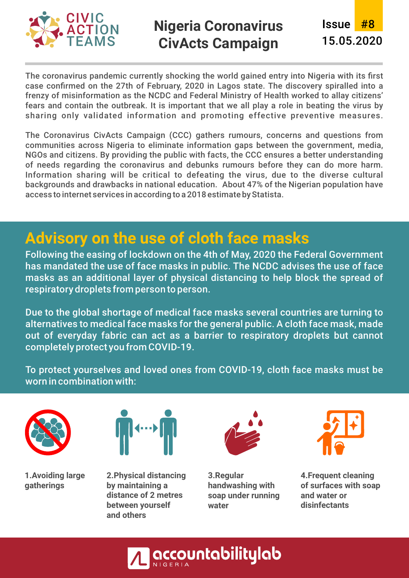

The coronavirus pandemic currently shocking the world gained entry into Nigeria with its first case confirmed on the 27th of February, 2020 in Lagos state. The discovery spiralled into a frenzy of misinformation as the NCDC and Federal Ministry of Health worked to allay citizens' fears and contain the outbreak. It is important that we all play a role in beating the virus by sharing only validated information and promoting effective preventive measures.

The Coronavirus CivActs Campaign (CCC) gathers rumours, concerns and questions from communities across Nigeria to eliminate information gaps between the government, media, NGOs and citizens. By providing the public with facts, the CCC ensures a better understanding of needs regarding the coronavirus and debunks rumours before they can do more harm. Information sharing will be critical to defeating the virus, due to the diverse cultural backgrounds and drawbacks in national education. About 47% of the Nigerian population have access to internet services in according to a 2018 estimate by Statista.

### **Advisory on the use of cloth face masks**

Following the easing of lockdown on the 4th of May, 2020 the Federal Government has mandated the use of face masks in public. The NCDC advises the use of face masks as an additional layer of physical distancing to help block the spread of respiratory droplets from person to person.

Due to the global shortage of medical face masks several countries are turning to alternatives to medical face masks for the general public. A cloth face mask, made out of everyday fabric can act as a barrier to respiratory droplets but cannot completely protect you from COVID-19.

To protect yourselves and loved ones from COVID-19, cloth face masks must be worn in combination with:



**1. Avoiding large gatherings**



**2. Physical distancing by maintaining a distance of 2 metres between yourself and others**



**3. Regular handwashing with soap under running water**



**4. Frequent cleaning of surfaces with soap and water or disinfectants**

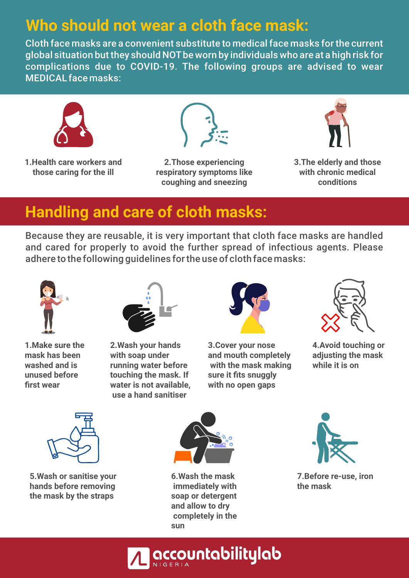## **Who should not wear a cloth face mask:**

Cloth face masks are a convenient substitute to medical face masks for the current global situation but they should NOTbe worn by individuals who are at a high risk for complications due to COVID-19. The following groups are advised to wear MEDICAL face masks:



**1. Health care workers and those caring for the ill**



**2. Those experiencing respiratory symptoms like coughing and sneezing**



**3. The elderly and those with chronic medical conditions**

## **Handling and care of cloth masks:**

Because they are reusable, it is very important that cloth face masks are handled and cared for properly to avoid the further spread of infectious agents. Please adhere to the following guidelines for the use of cloth face masks:



**1. Make sure the mask has been washed and is unused before first wear**



**2. Wash your hands with soap under running water before touching the mask. If water is not available, use a hand sanitiser**



**3. Cover your nose and mouth completely with the mask making sure it fits snuggly with no open gaps**



**4. Avoid touching or adjusting the mask while it is on**



**5. Wash or sanitise your hands before removing the mask by the straps**



**6. Wash the mask immediately with soap or detergent and allow to dry completely in the sun**



**7. Before re-use, iron the mask**

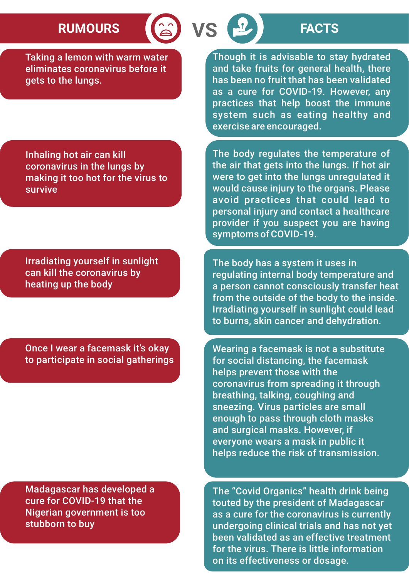# **RUMOURS (a) VS P FACTS**

Taking a lemon with warm water eliminates coronavirus before it gets to the lungs.

Inhaling hot air can kill coronavirus in the lungs by making it too hot for the virus to survive

Irradiating yourself in sunlight can kill the coronavirus by heating up the body

Once I wear a facemask it's okay to participate in social gatherings

Madagascar has developed a cure for COVID-19 that the Nigerian government is too stubborn to buy

Though it is advisable to stay hydrated and take fruits for general health, there has been no fruit that has been validated as a cure for COVID-19. However, any practices that help boost the immune system such as eating healthy and exercise are encouraged.

The body regulates the temperature of the air that gets into the lungs. If hot air were to get into the lungs unregulated it would cause injury to the organs. Please avoid practices that could lead to personal injury and contact a healthcare provider if you suspect you are having symptoms of COVID-19.

The body has a system it uses in regulating internal body temperature and a person cannot consciously transfer heat from the outside of the body to the inside. Irradiating yourself in sunlight could lead to burns, skin cancer and dehydration.

Wearing a facemask is not a substitute for social distancing, the facemask helps prevent those with the coronavirus from spreading it through breathing, talking, coughing and sneezing. Virus particles are small enough to pass through cloth masks and surgical masks. However, if everyone wears a mask in public it helps reduce the risk of transmission.

The "Covid Organics" health drink being touted by the president of Madagascar as a cure for the coronavirus is currently undergoing clinical trials and has not yet been validated as an effective treatment for the virus. There is little information on its effectiveness or dosage.